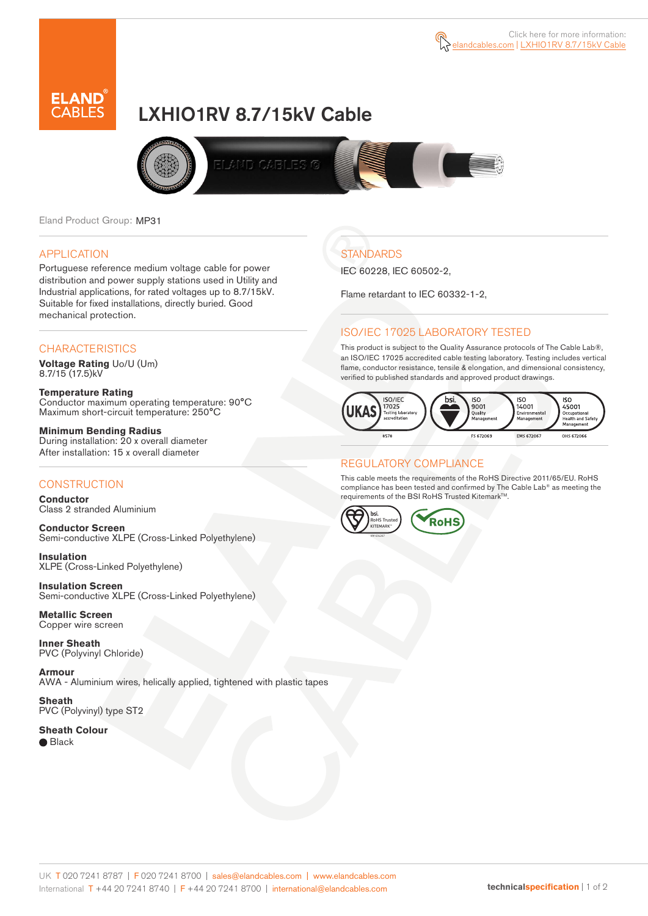



# LXHIO1RV 8.7/15kV Cable



Eland Product Group: MP31

### APPLICATION

Portuguese reference medium voltage cable for power distribution and power supply stations used in Utility and Industrial applications, for rated voltages up to 8.7/15kV. Suitable for fixed installations, directly buried. Good mechanical protection.

### **CHARACTERISTICS**

**Voltage Rating** Uo/U (Um) 8.7/15 (17.5)kV

**Temperature Rating** Conductor maximum operating temperature: 90°C Maximum short-circuit temperature: 250°C

**Minimum Bending Radius** During installation: 20 x overall diameter After installation: 15 x overall diameter

### **CONSTRUCTION**

**Conductor**  Class 2 stranded Aluminium

**Conductor Screen** Semi-conductive XLPE (Cross-Linked Polyethylene)

**Insulation** XLPE (Cross-Linked Polyethylene)

**Insulation Screen** Semi-conductive XLPE (Cross-Linked Polyethylene)

**Metallic Screen**  Copper wire screen

**Inner Sheath** PVC (Polyvinyl Chloride)

**Armour** AWA - Aluminium wires, helically applied, tightened with plastic tapes

**Sheath** PVC (Polyvinyl) type ST2

**Sheath Colour**  ● Black

# **STANDARDS**

IEC 60228, IEC 60502-2,

Flame retardant to IEC 60332-1-2,

### ISO/IEC 17025 LABORATORY TESTED

This product is subject to the Quality Assurance protocols of The Cable Lab®, an ISO/IEC 17025 accredited cable testing laboratory. Testing includes vertical flame, conductor resistance, tensile & elongation, and dimensional consistency, verified to published standards and approved product drawings.



### REGULATORY COMPLIANCE

This cable meets the requirements of the RoHS Directive 2011/65/EU. RoHS compliance has been tested and confirmed by The Cable Lab® as meeting the requirements of the BSI RoHS Trusted Kitemark™.